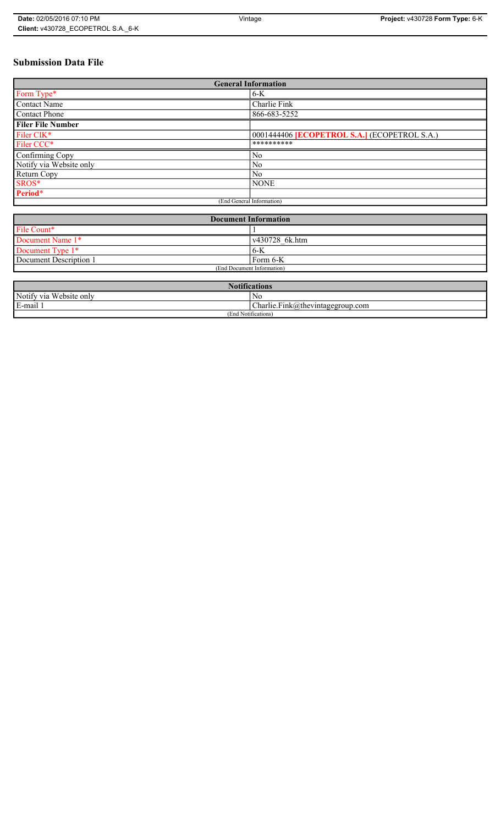# **Submission Data File**

| <b>General Information</b> |                                                   |
|----------------------------|---------------------------------------------------|
| Form Type*                 | $6-K$                                             |
| <b>Contact Name</b>        | Charlie Fink                                      |
| <b>Contact Phone</b>       | 866-683-5252                                      |
| <b>Filer File Number</b>   |                                                   |
| Filer CIK*                 | 0001444406 <b>ECOPETROL S.A.</b> (ECOPETROL S.A.) |
| Filer CCC*                 | **********                                        |
| Confirming Copy            | No                                                |
| Notify via Website only    | No                                                |
| Return Copy                | N <sub>0</sub>                                    |
| SROS*                      | <b>NONE</b>                                       |
| Period*                    |                                                   |
| (End General Information)  |                                                   |

| <b>Document Information</b> |                        |
|-----------------------------|------------------------|
| File Count*                 |                        |
| Document Name 1*            | $\sqrt{430728}$ 6k.htm |
| Document Type 1*            | ' 6-K                  |
| Document Description 1      | Form 6-K               |
| (End Document Information)  |                        |

| <b>Totifications</b>                  |                                  |
|---------------------------------------|----------------------------------|
| Notify via<br>T T T<br>. Website only | No                               |
| $\cdot$ .<br>$\blacksquare$<br>i-mail | Charlie.Fink@thevintagegroup.com |
| $\cdots$<br>(End Notifications)       |                                  |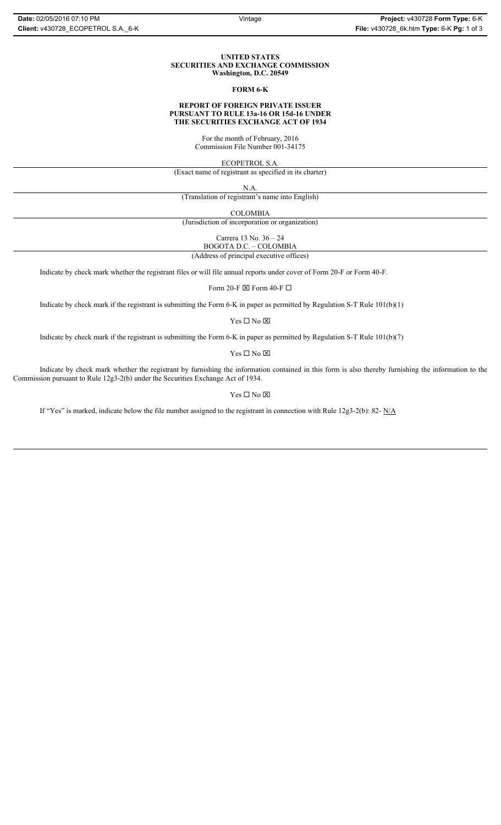#### **UNITED STATES SECURITIES AND EXCHANGE COMMISSION Washington, D.C. 20549**

#### **FORM 6-K**

## **REPORT OF FOREIGN PRIVATE ISSUER PURSUANT TO RULE 13a-16 OR 15d-16 UNDER THE SECURITIES EXCHANGE ACT OF 1934**

For the month of February, 2016 Commission File Number 001-34175

ECOPETROL S.A.

(Exact name of registrant as specified in its charter)

N.A.

(Translation of registrant's name into English)

COLOMBIA

(Jurisdiction of incorporation or organization)

Carrera 13 No. 36 – 24

BOGOTA D.C. – COLOMBIA (Address of principal executive offices)

Indicate by check mark whether the registrant files or will file annual reports under cover of Form 20-F or Form 40-F.

Form 20-F  $\boxtimes$  Form 40-F  $\Box$ 

Indicate by check mark if the registrant is submitting the Form 6-K in paper as permitted by Regulation S-T Rule 101(b)(1)

 $Yes \Box No \boxtimes$ 

Indicate by check mark if the registrant is submitting the Form 6-K in paper as permitted by Regulation S-T Rule 101(b)(7)

 $\mathbf{Y}\mathbf{es} \ \Box \ \mathbf{No} \ \overline{\mathbf{\mathbf{\boxtimes}}}$ 

Indicate by check mark whether the registrant by furnishing the information contained in this form is also thereby furnishing the information to the Commission pursuant to Rule 12g3-2(b) under the Securities Exchange Act of 1934.

## $Yes \Box No \boxtimes$

If "Yes" is marked, indicate below the file number assigned to the registrant in connection with Rule 12g3-2(b): 82- N/A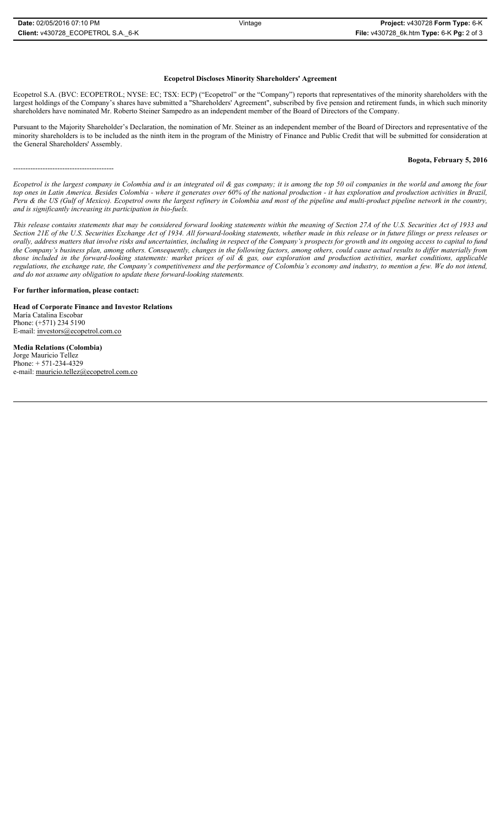Ecopetrol S.A. (BVC: ECOPETROL; NYSE: EC; TSX: ECP) ("Ecopetrol" or the "Company") reports that representatives of the minority shareholders with the largest holdings of the Company's shares have submitted a "Shareholders' Agreement", subscribed by five pension and retirement funds, in which such minority shareholders have nominated Mr. Roberto Steiner Sampedro as an independent member of the Board of Directors of the Company.

Pursuant to the Majority Shareholder's Declaration, the nomination of Mr. Steiner as an independent member of the Board of Directors and representative of the minority shareholders is to be included as the ninth item in the program of the Ministry of Finance and Public Credit that will be submitted for consideration at the General Shareholders' Assembly.

#### **Bogota, February 5, 2016**

*Ecopetrol is the largest company in Colombia and is an integrated oil & gas company; it is among the top 50 oil companies in the world and among the four top ones in Latin America. Besides Colombia - where it generates over 60% of the national production - it has exploration and production activities in Brazil, Peru & the US (Gulf of Mexico). Ecopetrol owns the largest refinery in Colombia and most of the pipeline and multi-product pipeline network in the country, and is significantly increasing its participation in bio-fuels.*

*This release contains statements that may be considered forward looking statements within the meaning of Section 27A of the U.S. Securities Act of 1933 and Section 21E of the U.S. Securities Exchange Act of 1934. All forward-looking statements, whether made in this release or in future filings or press releases or orally, address matters that involve risks and uncertainties, including in respect of the Company's prospects for growth and its ongoing access to capital to fund the Company's business plan, among others. Consequently, changes in the following factors, among others, could cause actual results to differ materially from those included in the forward-looking statements: market prices of oil & gas, our exploration and production activities, market conditions, applicable regulations, the exchange rate, the Company's competitiveness and the performance of Colombia's economy and industry, to mention a few. We do not intend, and do not assume any obligation to update these forward-looking statements.*

**For further information, please contact:** 

-----------------------------------------

**Head of Corporate Finance and Investor Relations** María Catalina Escobar Phone: (+571) 234 5190 E-mail: investors@ecopetrol.com.co

**Media Relations (Colombia)**  Jorge Mauricio Tellez Phone: + 571-234-4329 e-mail: mauricio.tellez@ecopetrol.com.co